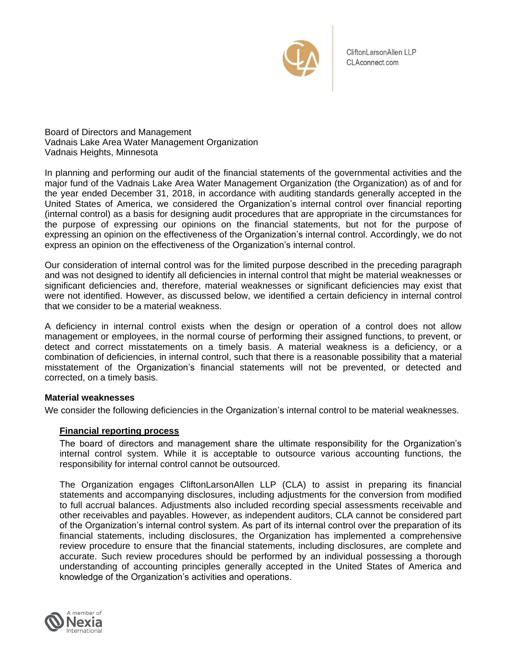

CliftonLarsonAllen LLP CLAconnect.com

Board of Directors and Management Vadnais Lake Area Water Management Organization Vadnais Heights, Minnesota

In planning and performing our audit of the financial statements of the governmental activities and the major fund of the Vadnais Lake Area Water Management Organization (the Organization) as of and for the year ended December 31, 2018, in accordance with auditing standards generally accepted in the United States of America, we considered the Organization's internal control over financial reporting (internal control) as a basis for designing audit procedures that are appropriate in the circumstances for the purpose of expressing our opinions on the financial statements, but not for the purpose of expressing an opinion on the effectiveness of the Organization's internal control. Accordingly, we do not express an opinion on the effectiveness of the Organization's internal control.

Our consideration of internal control was for the limited purpose described in the preceding paragraph and was not designed to identify all deficiencies in internal control that might be material weaknesses or significant deficiencies and, therefore, material weaknesses or significant deficiencies may exist that were not identified. However, as discussed below, we identified a certain deficiency in internal control that we consider to be a material weakness.

A deficiency in internal control exists when the design or operation of a control does not allow management or employees, in the normal course of performing their assigned functions, to prevent, or detect and correct misstatements on a timely basis. A material weakness is a deficiency, or a combination of deficiencies, in internal control, such that there is a reasonable possibility that a material misstatement of the Organization's financial statements will not be prevented, or detected and corrected, on a timely basis.

## **Material weaknesses**

We consider the following deficiencies in the Organization's internal control to be material weaknesses.

## **Financial reporting process**

The board of directors and management share the ultimate responsibility for the Organization's internal control system. While it is acceptable to outsource various accounting functions, the responsibility for internal control cannot be outsourced.

The Organization engages CliftonLarsonAllen LLP (CLA) to assist in preparing its financial statements and accompanying disclosures, including adjustments for the conversion from modified to full accrual balances. Adjustments also included recording special assessments receivable and other receivables and payables. However, as independent auditors, CLA cannot be considered part of the Organization's internal control system. As part of its internal control over the preparation of its financial statements, including disclosures, the Organization has implemented a comprehensive review procedure to ensure that the financial statements, including disclosures, are complete and accurate. Such review procedures should be performed by an individual possessing a thorough understanding of accounting principles generally accepted in the United States of America and knowledge of the Organization's activities and operations.

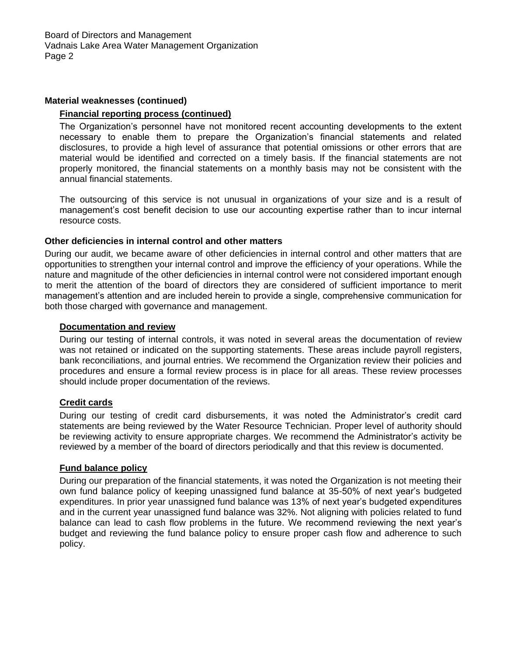## **Material weaknesses (continued)**

# **Financial reporting process (continued)**

The Organization's personnel have not monitored recent accounting developments to the extent necessary to enable them to prepare the Organization's financial statements and related disclosures, to provide a high level of assurance that potential omissions or other errors that are material would be identified and corrected on a timely basis. If the financial statements are not properly monitored, the financial statements on a monthly basis may not be consistent with the annual financial statements.

The outsourcing of this service is not unusual in organizations of your size and is a result of management's cost benefit decision to use our accounting expertise rather than to incur internal resource costs.

# **Other deficiencies in internal control and other matters**

During our audit, we became aware of other deficiencies in internal control and other matters that are opportunities to strengthen your internal control and improve the efficiency of your operations. While the nature and magnitude of the other deficiencies in internal control were not considered important enough to merit the attention of the board of directors they are considered of sufficient importance to merit management's attention and are included herein to provide a single, comprehensive communication for both those charged with governance and management.

# **Documentation and review**

During our testing of internal controls, it was noted in several areas the documentation of review was not retained or indicated on the supporting statements. These areas include payroll registers, bank reconciliations, and journal entries. We recommend the Organization review their policies and procedures and ensure a formal review process is in place for all areas. These review processes should include proper documentation of the reviews.

## **Credit cards**

During our testing of credit card disbursements, it was noted the Administrator's credit card statements are being reviewed by the Water Resource Technician. Proper level of authority should be reviewing activity to ensure appropriate charges. We recommend the Administrator's activity be reviewed by a member of the board of directors periodically and that this review is documented.

## **Fund balance policy**

During our preparation of the financial statements, it was noted the Organization is not meeting their own fund balance policy of keeping unassigned fund balance at 35-50% of next year's budgeted expenditures. In prior year unassigned fund balance was 13% of next year's budgeted expenditures and in the current year unassigned fund balance was 32%. Not aligning with policies related to fund balance can lead to cash flow problems in the future. We recommend reviewing the next year's budget and reviewing the fund balance policy to ensure proper cash flow and adherence to such policy.